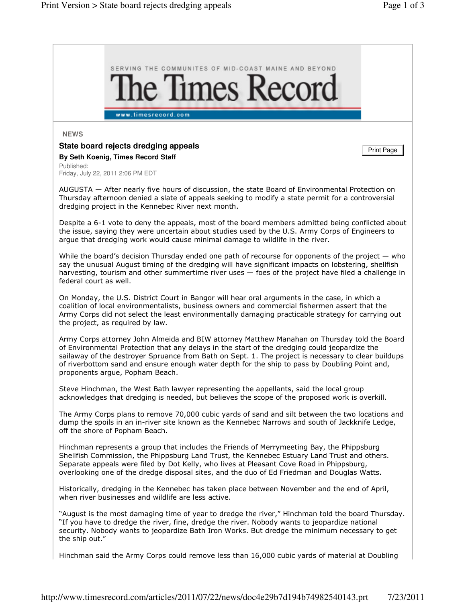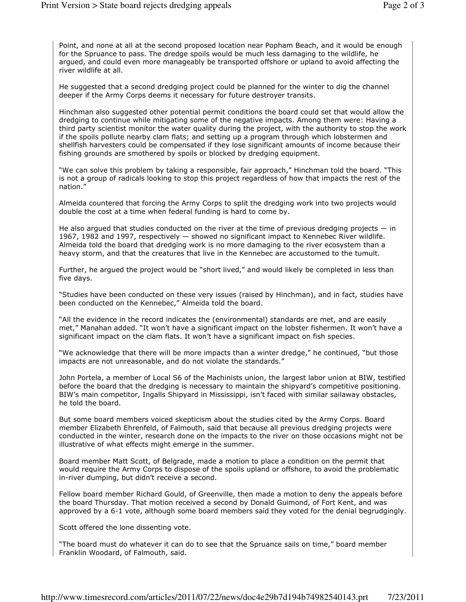Point, and none at all at the second proposed location near Popham Beach, and it would be enough for the Spruance to pass. The dredge spoils would be much less damaging to the wildlife, he argued, and could even more manageably be transported offshore or upland to avoid affecting the river wildlife at all.

He suggested that a second dredging project could be planned for the winter to dig the channel deeper if the Army Corps deems it necessary for future destroyer transits.

Hinchman also suggested other potential permit conditions the board could set that would allow the dredging to continue while mitigating some of the negative impacts. Among them were: Having a third party scientist monitor the water quality during the project, with the authority to stop the work if the spoils pollute nearby clam flats; and setting up a program through which lobstermen and shellfish harvesters could be compensated if they lose significant amounts of income because their fishing grounds are smothered by spoils or blocked by dredging equipment.

"We can solve this problem by taking a responsible, fair approach," Hinchman told the board. "This is not a group of radicals looking to stop this project regardless of how that impacts the rest of the nation."

Almeida countered that forcing the Army Corps to split the dredging work into two projects would double the cost at a time when federal funding is hard to come by.

He also argued that studies conducted on the river at the time of previous dredging projects  $-$  in 1967, 1982 and 1997, respectively — showed no significant impact to Kennebec River wildlife. Almeida told the board that dredging work is no more damaging to the river ecosystem than a heavy storm, and that the creatures that live in the Kennebec are accustomed to the tumult.

Further, he argued the project would be "short lived," and would likely be completed in less than five days.

"Studies have been conducted on these very issues (raised by Hinchman), and in fact, studies have been conducted on the Kennebec," Almeida told the board.

"All the evidence in the record indicates the (environmental) standards are met, and are easily met," Manahan added. "It won't have a significant impact on the lobster fishermen. It won't have a significant impact on the clam flats. It won't have a significant impact on fish species.

"We acknowledge that there will be more impacts than a winter dredge," he continued, "but those impacts are not unreasonable, and do not violate the standards."

John Portela, a member of Local S6 of the Machinists union, the largest labor union at BIW, testified before the board that the dredging is necessary to maintain the shipyard's competitive positioning. BIW's main competitor, Ingalls Shipyard in Mississippi, isn't faced with similar sailaway obstacles, he told the board.

But some board members voiced skepticism about the studies cited by the Army Corps. Board member Elizabeth Ehrenfeld, of Falmouth, said that because all previous dredging projects were conducted in the winter, research done on the impacts to the river on those occasions might not be illustrative of what effects might emerge in the summer.

Board member Matt Scott, of Belgrade, made a motion to place a condition on the permit that would require the Army Corps to dispose of the spoils upland or offshore, to avoid the problematic in-river dumping, but didn't receive a second.

Fellow board member Richard Gould, of Greenville, then made a motion to deny the appeals before the board Thursday. That motion received a second by Donald Guimond, of Fort Kent, and was approved by a 6-1 vote, although some board members said they voted for the denial begrudgingly.

Scott offered the lone dissenting vote.

"The board must do whatever it can do to see that the Spruance sails on time," board member Franklin Woodard, of Falmouth, said.